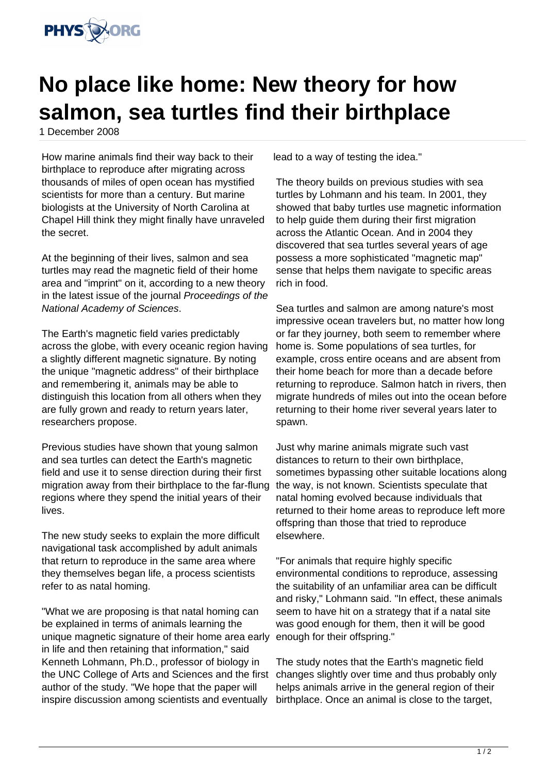

## **No place like home: New theory for how salmon, sea turtles find their birthplace**

1 December 2008

How marine animals find their way back to their birthplace to reproduce after migrating across thousands of miles of open ocean has mystified scientists for more than a century. But marine biologists at the University of North Carolina at Chapel Hill think they might finally have unraveled the secret.

At the beginning of their lives, salmon and sea turtles may read the magnetic field of their home area and "imprint" on it, according to a new theory in the latest issue of the journal Proceedings of the National Academy of Sciences.

The Earth's magnetic field varies predictably across the globe, with every oceanic region having a slightly different magnetic signature. By noting the unique "magnetic address" of their birthplace and remembering it, animals may be able to distinguish this location from all others when they are fully grown and ready to return years later, researchers propose.

Previous studies have shown that young salmon and sea turtles can detect the Earth's magnetic field and use it to sense direction during their first migration away from their birthplace to the far-flung regions where they spend the initial years of their lives.

The new study seeks to explain the more difficult navigational task accomplished by adult animals that return to reproduce in the same area where they themselves began life, a process scientists refer to as natal homing.

"What we are proposing is that natal homing can be explained in terms of animals learning the unique magnetic signature of their home area early in life and then retaining that information," said Kenneth Lohmann, Ph.D., professor of biology in the UNC College of Arts and Sciences and the first author of the study. "We hope that the paper will inspire discussion among scientists and eventually

lead to a way of testing the idea."

The theory builds on previous studies with sea turtles by Lohmann and his team. In 2001, they showed that baby turtles use magnetic information to help guide them during their first migration across the Atlantic Ocean. And in 2004 they discovered that sea turtles several years of age possess a more sophisticated "magnetic map" sense that helps them navigate to specific areas rich in food.

Sea turtles and salmon are among nature's most impressive ocean travelers but, no matter how long or far they journey, both seem to remember where home is. Some populations of sea turtles, for example, cross entire oceans and are absent from their home beach for more than a decade before returning to reproduce. Salmon hatch in rivers, then migrate hundreds of miles out into the ocean before returning to their home river several years later to spawn.

Just why marine animals migrate such vast distances to return to their own birthplace, sometimes bypassing other suitable locations along the way, is not known. Scientists speculate that natal homing evolved because individuals that returned to their home areas to reproduce left more offspring than those that tried to reproduce elsewhere.

"For animals that require highly specific environmental conditions to reproduce, assessing the suitability of an unfamiliar area can be difficult and risky," Lohmann said. "In effect, these animals seem to have hit on a strategy that if a natal site was good enough for them, then it will be good enough for their offspring."

The study notes that the Earth's magnetic field changes slightly over time and thus probably only helps animals arrive in the general region of their birthplace. Once an animal is close to the target,